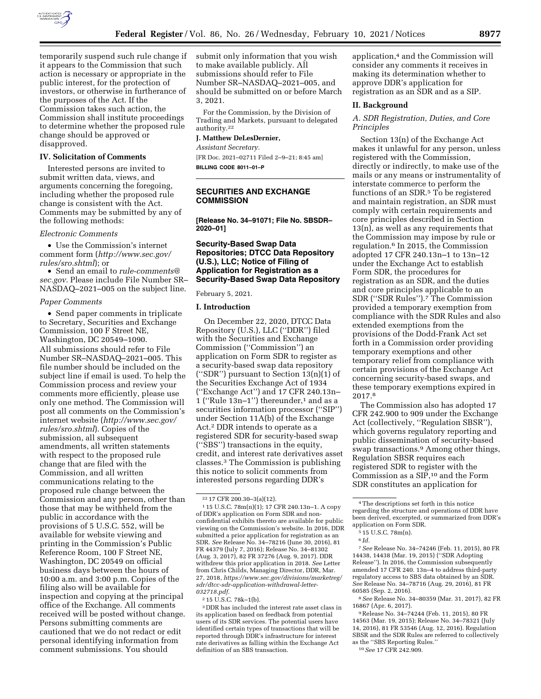

temporarily suspend such rule change if it appears to the Commission that such action is necessary or appropriate in the public interest, for the protection of investors, or otherwise in furtherance of the purposes of the Act. If the Commission takes such action, the Commission shall institute proceedings to determine whether the proposed rule change should be approved or disapproved.

### **IV. Solicitation of Comments**

Interested persons are invited to submit written data, views, and arguments concerning the foregoing, including whether the proposed rule change is consistent with the Act. Comments may be submitted by any of the following methods:

#### *Electronic Comments*

• Use the Commission's internet comment form (*[http://www.sec.gov/](http://www.sec.gov/rules/sro.shtml)  [rules/sro.shtml](http://www.sec.gov/rules/sro.shtml)*); or

• Send an email to *[rule-comments@](mailto:rule-comments@sec.gov) [sec.gov.](mailto:rule-comments@sec.gov)* Please include File Number SR– NASDAQ–2021–005 on the subject line.

#### *Paper Comments*

• Send paper comments in triplicate to Secretary, Securities and Exchange Commission, 100 F Street NE, Washington, DC 20549–1090. All submissions should refer to File Number SR–NASDAQ–2021–005. This file number should be included on the subject line if email is used. To help the Commission process and review your comments more efficiently, please use only one method. The Commission will post all comments on the Commission's internet website (*[http://www.sec.gov/](http://www.sec.gov/rules/sro.shtml)  [rules/sro.shtml](http://www.sec.gov/rules/sro.shtml)*). Copies of the submission, all subsequent amendments, all written statements with respect to the proposed rule change that are filed with the Commission, and all written communications relating to the proposed rule change between the Commission and any person, other than those that may be withheld from the public in accordance with the provisions of 5 U.S.C. 552, will be available for website viewing and printing in the Commission's Public Reference Room, 100 F Street NE, Washington, DC 20549 on official business days between the hours of 10:00 a.m. and 3:00 p.m. Copies of the filing also will be available for inspection and copying at the principal office of the Exchange. All comments received will be posted without change. Persons submitting comments are cautioned that we do not redact or edit personal identifying information from comment submissions. You should

submit only information that you wish to make available publicly. All submissions should refer to File Number SR–NASDAQ–2021–005, and should be submitted on or before March 3, 2021.

For the Commission, by the Division of Trading and Markets, pursuant to delegated authority.22

#### **J. Matthew DeLesDernier,**

*Assistant Secretary.*  [FR Doc. 2021–02711 Filed 2–9–21; 8:45 am] **BILLING CODE 8011–01–P** 

# **SECURITIES AND EXCHANGE COMMISSION**

**[Release No. 34–91071; File No. SBSDR– 2020–01]** 

# **Security-Based Swap Data Repositories; DTCC Data Repository (U.S.), LLC; Notice of Filing of Application for Registration as a Security-Based Swap Data Repository**

#### February 5, 2021.

### **I. Introduction**

On December 22, 2020, DTCC Data Repository (U.S.), LLC (''DDR'') filed with the Securities and Exchange Commission (''Commission'') an application on Form SDR to register as a security-based swap data repository (''SDR'') pursuant to Section 13(n)(1) of the Securities Exchange Act of 1934 (''Exchange Act'') and 17 CFR 240.13n– 1 ("Rule  $13n-1$ ") thereunder,<sup>1</sup> and as a securities information processor (''SIP'') under Section 11A(b) of the Exchange Act.2 DDR intends to operate as a registered SDR for security-based swap (''SBS'') transactions in the equity, credit, and interest rate derivatives asset classes.3 The Commission is publishing this notice to solicit comments from interested persons regarding DDR's

1 15 U.S.C. 78m(n)(1); 17 CFR 240.13n–1. A copy of DDR's application on Form SDR and nonconfidential exhibits thereto are available for public viewing on the Commission's website. In 2016, DDR submitted a prior application for registration as an SDR. *See* Release No. 34–78216 (June 30, 2016), 81 FR 44379 (July 7, 2016); Release No. 34–81302 (Aug. 3, 2017), 82 FR 37276 (Aug. 9, 2017). DDR withdrew this prior application in 2018. *See* Letter from Chris Childs, Managing Director, DDR, Mar. 27, 2018, *[https://www.sec.gov/divisions/marketreg/](https://www.sec.gov/divisions/marketreg/sdr/dtcc-sdr-application-withdrawal-letter-032718.pdf) [sdr/dtcc-sdr-application-withdrawal-letter-](https://www.sec.gov/divisions/marketreg/sdr/dtcc-sdr-application-withdrawal-letter-032718.pdf)[032718.pdf.](https://www.sec.gov/divisions/marketreg/sdr/dtcc-sdr-application-withdrawal-letter-032718.pdf)* 

2 15 U.S.C. 78k–1(b).

3 DDR has included the interest rate asset class in its application based on feedback from potential users of its SDR services. The potential users have identified certain types of transactions that will be reported through DDR's infrastructure for interest rate derivatives as falling within the Exchange Act definition of an SBS transaction.

application,4 and the Commission will consider any comments it receives in making its determination whether to approve DDR's application for registration as an SDR and as a SIP.

# **II. Background**

*A. SDR Registration, Duties, and Core Principles* 

Section 13(n) of the Exchange Act makes it unlawful for any person, unless registered with the Commission, directly or indirectly, to make use of the mails or any means or instrumentality of interstate commerce to perform the functions of an SDR.<sup>5</sup> To be registered and maintain registration, an SDR must comply with certain requirements and core principles described in Section 13(n), as well as any requirements that the Commission may impose by rule or regulation.6 In 2015, the Commission adopted 17 CFR 240.13n–1 to 13n–12 under the Exchange Act to establish Form SDR, the procedures for registration as an SDR, and the duties and core principles applicable to an SDR (''SDR Rules'').7 The Commission provided a temporary exemption from compliance with the SDR Rules and also extended exemptions from the provisions of the Dodd-Frank Act set forth in a Commission order providing temporary exemptions and other temporary relief from compliance with certain provisions of the Exchange Act concerning security-based swaps, and these temporary exemptions expired in 2017.8

The Commission also has adopted 17 CFR 242.900 to 909 under the Exchange Act (collectively, ''Regulation SBSR''), which governs regulatory reporting and public dissemination of security-based swap transactions.9 Among other things, Regulation SBSR requires each registered SDR to register with the Commission as a SIP,10 and the Form SDR constitutes an application for

7*See* Release No. 34–74246 (Feb. 11, 2015), 80 FR 14438, 14438 (Mar. 19, 2015) (''SDR Adopting Release''). In 2016, the Commission subsequently amended 17 CFR 240. 13n–4 to address third-party regulatory access to SBS data obtained by an SDR. *See* Release No. 34–78716 (Aug. 29, 2016), 81 FR 60585 (Sep. 2, 2016).

8*See* Release No. 34–80359 (Mar. 31, 2017), 82 FR 16867 (Apr. 6, 2017).

9Release No. 34–74244 (Feb. 11, 2015), 80 FR 14563 (Mar. 19, 2015); Release No. 34–78321 (July 14, 2016), 81 FR 53546 (Aug. 12, 2016). Regulation SBSR and the SDR Rules are referred to collectively as the ''SBS Reporting Rules.''

10*See* 17 CFR 242.909.

<sup>22</sup> 17 CFR 200.30–3(a)(12).

<sup>4</sup>The descriptions set forth in this notice regarding the structure and operations of DDR have been derived, excerpted, or summarized from DDR's application on Form SDR.

<sup>5</sup> 15 U.S.C. 78m(n).

<sup>6</sup> *Id.*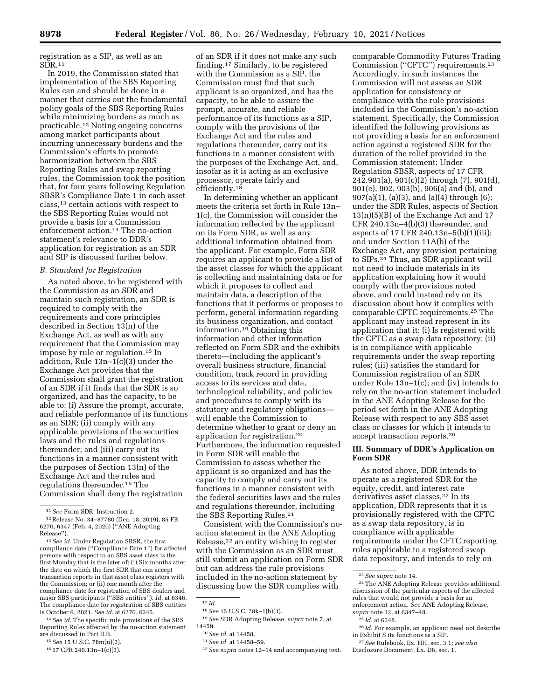registration as a SIP, as well as an  $SDR.11$ 

In 2019, the Commission stated that implementation of the SBS Reporting Rules can and should be done in a manner that carries out the fundamental policy goals of the SBS Reporting Rules while minimizing burdens as much as practicable.12 Noting ongoing concerns among market participants about incurring unnecessary burdens and the Commission's efforts to promote harmonization between the SBS Reporting Rules and swap reporting rules, the Commission took the position that, for four years following Regulation SBSR's Compliance Date 1 in each asset class,13 certain actions with respect to the SBS Reporting Rules would not provide a basis for a Commission enforcement action.14 The no-action statement's relevance to DDR's application for registration as an SDR and SIP is discussed further below.

## *B. Standard for Registration*

As noted above, to be registered with the Commission as an SDR and maintain such registration, an SDR is required to comply with the requirements and core principles described in Section 13(n) of the Exchange Act, as well as with any requirement that the Commission may impose by rule or regulation.15 In addition, Rule 13n–1(c)(3) under the Exchange Act provides that the Commission shall grant the registration of an SDR if it finds that the SDR is so organized, and has the capacity, to be able to: (i) Assure the prompt, accurate, and reliable performance of its functions as an SDR; (ii) comply with any applicable provisions of the securities laws and the rules and regulations thereunder; and (iii) carry out its functions in a manner consistent with the purposes of Section 13(n) of the Exchange Act and the rules and regulations thereunder.16 The Commission shall deny the registration

14*See id.* The specific rule provisions of the SBS Reporting Rules affected by the no-action statement are discussed in Part II.B.

of an SDR if it does not make any such finding.17 Similarly, to be registered with the Commission as a SIP, the Commission must find that such applicant is so organized, and has the capacity, to be able to assure the prompt, accurate, and reliable performance of its functions as a SIP, comply with the provisions of the Exchange Act and the rules and regulations thereunder, carry out its functions in a manner consistent with the purposes of the Exchange Act, and, insofar as it is acting as an exclusive processor, operate fairly and efficiently.18

In determining whether an applicant meets the criteria set forth in Rule 13n– 1(c), the Commission will consider the information reflected by the applicant on its Form SDR, as well as any additional information obtained from the applicant. For example, Form SDR requires an applicant to provide a list of the asset classes for which the applicant is collecting and maintaining data or for which it proposes to collect and maintain data, a description of the functions that it performs or proposes to perform, general information regarding its business organization, and contact information.19 Obtaining this information and other information reflected on Form SDR and the exhibits thereto—including the applicant's overall business structure, financial condition, track record in providing access to its services and data, technological reliability, and policies and procedures to comply with its statutory and regulatory obligations will enable the Commission to determine whether to grant or deny an application for registration.20 Furthermore, the information requested in Form SDR will enable the Commission to assess whether the applicant is so organized and has the capacity to comply and carry out its functions in a manner consistent with the federal securities laws and the rules and regulations thereunder, including the SBS Reporting Rules.21

Consistent with the Commission's noaction statement in the ANE Adopting Release,22 an entity wishing to register with the Commission as an SDR must still submit an application on Form SDR but can address the rule provisions included in the no-action statement by discussing how the SDR complies with

19*See* SDR Adopting Release, *supra* note 7, at 14459.

comparable Commodity Futures Trading Commission (''CFTC'') requirements.23 Accordingly, in such instances the Commission will not assess an SDR application for consistency or compliance with the rule provisions included in the Commission's no-action statement. Specifically, the Commission identified the following provisions as not providing a basis for an enforcement action against a registered SDR for the duration of the relief provided in the Commission statement: Under Regulation SBSR, aspects of 17 CFR 242.901(a), 901(c)(2) through (7), 901(d), 901(e), 902, 903(b), 906(a) and (b), and 907(a)(1), (a)(3), and (a)(4) through (6); under the SDR Rules, aspects of Section 13(n)(5)(B) of the Exchange Act and 17 CFR 240.13n–4(b)(3) thereunder, and aspects of 17 CFR 240.13n–5(b)(1)(iii); and under Section 11A(b) of the Exchange Act, any provision pertaining to SIPs.<sup>24</sup> Thus, an SDR applicant will not need to include materials in its application explaining how it would comply with the provisions noted above, and could instead rely on its discussion about how it complies with comparable CFTC requirements.25 The applicant may instead represent in its application that it: (i) Is registered with the CFTC as a swap data repository; (ii) is in compliance with applicable requirements under the swap reporting rules; (iii) satisfies the standard for Commission registration of an SDR under Rule 13n–1(c); and (iv) intends to rely on the no-action statement included in the ANE Adopting Release for the period set forth in the ANE Adopting Release with respect to any SBS asset class or classes for which it intends to accept transaction reports.26

## **III. Summary of DDR's Application on Form SDR**

As noted above, DDR intends to operate as a registered SDR for the equity, credit, and interest rate derivatives asset classes.27 In its application, DDR represents that it is provisionally registered with the CFTC as a swap data repository, is in compliance with applicable requirements under the CFTC reporting rules applicable to a registered swap data repository, and intends to rely on

<sup>11</sup>*See* Form SDR, Instruction 2.

<sup>12</sup>Release No. 34–87780 (Dec. 18, 2019), 85 FR 6270, 6347 (Feb. 4, 2020) (''ANE Adopting Release'').

<sup>13</sup>*See id.* Under Regulation SBSR, the first compliance date (''Compliance Date 1'') for affected persons with respect to an SBS asset class is the first Monday that is the later of: (i) Six months after the date on which the first SDR that can accept transaction reports in that asset class registers with the Commission; or (ii) one month after the compliance date for registration of SBS dealers and major SBS participants (''SBS entities''). *Id.* at 6346. The compliance date for registration of SBS entities is October 6, 2021. *See id.* at 6270, 6345.

<sup>15</sup>*See* 15 U.S.C. 78m(n)(3).

<sup>16</sup> 17 CFR 240.13n–1(c)(3).

<sup>17</sup> *Id.* 

<sup>18</sup>*See* 15 U.S.C. 78k–1(b)(3).

<sup>20</sup>*See id.* at 14458.

<sup>21</sup>*See id.* at 14458–59.

<sup>22</sup>*See supra* notes 12–14 and accompanying text.

<sup>23</sup>*See supra* note 14.

<sup>24</sup>The ANE Adopting Release provides additional discussion of the particular aspects of the affected rules that would not provide a basis for an enforcement action. *See* ANE Adopting Release, *supra* note 12, at 6347–48.

<sup>25</sup> *Id.* at 6348.

<sup>26</sup> *Id.* For example, an applicant need not describe in Exhibit S its functions as a SIP.

<sup>27</sup>*See* Rulebook, Ex. HH, sec. 3.1; *see also*  Disclosure Document, Ex. D6, sec. 1.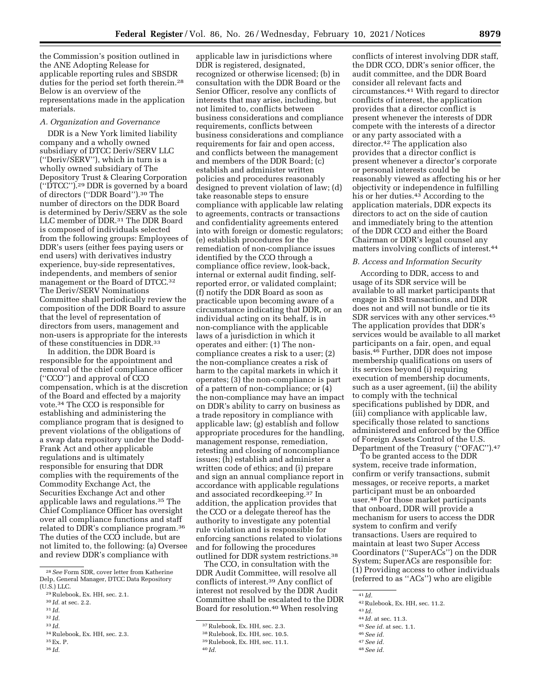the Commission's position outlined in the ANE Adopting Release for applicable reporting rules and SBSDR duties for the period set forth therein.28 Below is an overview of the representations made in the application materials.

## *A. Organization and Governance*

DDR is a New York limited liability company and a wholly owned subsidiary of DTCC Deriv/SERV LLC (''Deriv/SERV''), which in turn is a wholly owned subsidiary of The Depository Trust & Clearing Corporation (''DTCC'').29 DDR is governed by a board of directors (''DDR Board'').30 The number of directors on the DDR Board is determined by Deriv/SERV as the sole LLC member of DDR.31 The DDR Board is composed of individuals selected from the following groups: Employees of DDR's users (either fees paying users or end users) with derivatives industry experience, buy-side representatives, independents, and members of senior management or the Board of DTCC.<sup>32</sup> The Deriv/SERV Nominations Committee shall periodically review the composition of the DDR Board to assure that the level of representation of directors from users, management and non-users is appropriate for the interests of these constituencies in DDR.33

In addition, the DDR Board is responsible for the appointment and removal of the chief compliance officer (''CCO'') and approval of CCO compensation, which is at the discretion of the Board and effected by a majority vote.34 The CCO is responsible for establishing and administering the compliance program that is designed to prevent violations of the obligations of a swap data repository under the Dodd-Frank Act and other applicable regulations and is ultimately responsible for ensuring that DDR complies with the requirements of the Commodity Exchange Act, the Securities Exchange Act and other applicable laws and regulations.35 The Chief Compliance Officer has oversight over all compliance functions and staff related to DDR's compliance program.36 The duties of the CCO include, but are not limited to, the following: (a) Oversee and review DDR's compliance with

- 32 *Id.*
- 33 *Id.*

36 *Id.* 

applicable law in jurisdictions where DDR is registered, designated, recognized or otherwise licensed; (b) in consultation with the DDR Board or the Senior Officer, resolve any conflicts of interests that may arise, including, but not limited to, conflicts between business considerations and compliance requirements, conflicts between business considerations and compliance requirements for fair and open access, and conflicts between the management and members of the DDR Board; (c) establish and administer written policies and procedures reasonably designed to prevent violation of law; (d) take reasonable steps to ensure compliance with applicable law relating to agreements, contracts or transactions and confidentiality agreements entered into with foreign or domestic regulators; (e) establish procedures for the remediation of non-compliance issues identified by the CCO through a compliance office review, look-back, internal or external audit finding, selfreported error, or validated complaint; (f) notify the DDR Board as soon as practicable upon becoming aware of a circumstance indicating that DDR, or an individual acting on its behalf, is in non-compliance with the applicable laws of a jurisdiction in which it operates and either: (1) The noncompliance creates a risk to a user; (2) the non-compliance creates a risk of harm to the capital markets in which it operates; (3) the non-compliance is part of a pattern of non-compliance; or (4) the non-compliance may have an impact on DDR's ability to carry on business as a trade repository in compliance with applicable law; (g) establish and follow appropriate procedures for the handling, management response, remediation, retesting and closing of noncompliance issues; (h) establish and administer a written code of ethics; and (i) prepare and sign an annual compliance report in accordance with applicable regulations and associated recordkeeping.37 In addition, the application provides that the CCO or a delegate thereof has the authority to investigate any potential rule violation and is responsible for enforcing sanctions related to violations and for following the procedures

outlined for DDR system restrictions.38 The CCO, in consultation with the DDR Audit Committee, will resolve all conflicts of interest.39 Any conflict of interest not resolved by the DDR Audit Committee shall be escalated to the DDR Board for resolution.40 When resolving

conflicts of interest involving DDR staff, the DDR CCO, DDR's senior officer, the audit committee, and the DDR Board consider all relevant facts and circumstances.41 With regard to director conflicts of interest, the application provides that a director conflict is present whenever the interests of DDR compete with the interests of a director or any party associated with a director.42 The application also provides that a director conflict is present whenever a director's corporate or personal interests could be reasonably viewed as affecting his or her objectivity or independence in fulfilling his or her duties.43 According to the application materials, DDR expects its directors to act on the side of caution and immediately bring to the attention of the DDR CCO and either the Board Chairman or DDR's legal counsel any matters involving conflicts of interest.44

### *B. Access and Information Security*

According to DDR, access to and usage of its SDR service will be available to all market participants that engage in SBS transactions, and DDR does not and will not bundle or tie its SDR services with any other services.45 The application provides that DDR's services would be available to all market participants on a fair, open, and equal basis.46 Further, DDR does not impose membership qualifications on users of its services beyond (i) requiring execution of membership documents, such as a user agreement, (ii) the ability to comply with the technical specifications published by DDR, and (iii) compliance with applicable law, specifically those related to sanctions administered and enforced by the Office of Foreign Assets Control of the U.S. Department of the Treasury (''OFAC'').47

To be granted access to the DDR system, receive trade information, confirm or verify transactions, submit messages, or receive reports, a market participant must be an onboarded user.48 For those market participants that onboard, DDR will provide a mechanism for users to access the DDR system to confirm and verify transactions. Users are required to maintain at least two Super Access Coordinators (''SuperACs'') on the DDR System; SuperACs are responsible for: (1) Providing access to other individuals (referred to as ''ACs'') who are eligible

- 
- <sup>44</sup> *Id.* at sec. 11.3. 45*See id.* at sec. 1.1. 46*See id.*
- 47*See id.*

<sup>28</sup>*See* Form SDR, cover letter from Katherine Delp, General Manager, DTCC Data Repository (U.S.) LLC.

<sup>29</sup>Rulebook, Ex. HH, sec. 2.1.

<sup>30</sup> *Id.* at sec. 2.2.

<sup>31</sup> *Id.* 

<sup>34</sup>Rulebook, Ex. HH, sec. 2.3.

<sup>35</sup>Ex. P.

<sup>37</sup>Rulebook, Ex. HH, sec. 2.3.

<sup>38</sup>Rulebook, Ex. HH, sec. 10.5.

<sup>39</sup>Rulebook, Ex. HH, sec. 11.1.

<sup>40</sup> *Id.* 

<sup>41</sup> *Id.* 

<sup>42</sup>Rulebook, Ex. HH, sec. 11.2. 43 *Id.* 

<sup>48</sup>*See id.*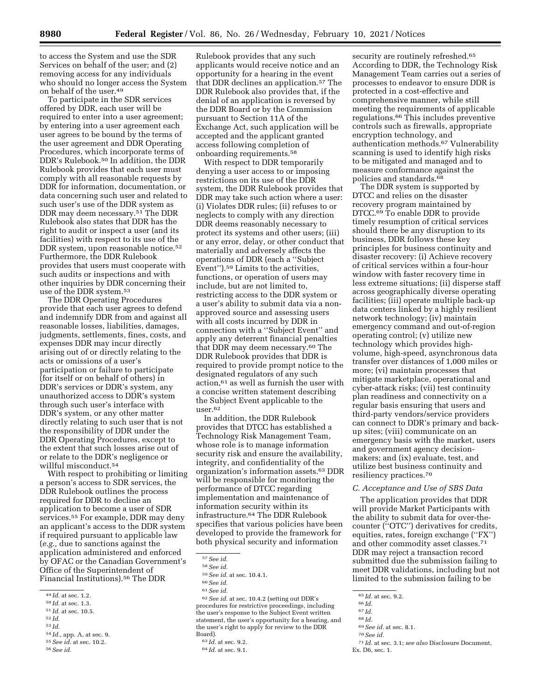to access the System and use the SDR Services on behalf of the user; and (2) removing access for any individuals who should no longer access the System on behalf of the user.49

To participate in the SDR services offered by DDR, each user will be required to enter into a user agreement; by entering into a user agreement each user agrees to be bound by the terms of the user agreement and DDR Operating Procedures, which incorporate terms of DDR's Rulebook.50 In addition, the DDR Rulebook provides that each user must comply with all reasonable requests by DDR for information, documentation, or data concerning such user and related to such user's use of the DDR system as DDR may deem necessary.51 The DDR Rulebook also states that DDR has the right to audit or inspect a user (and its facilities) with respect to its use of the DDR system, upon reasonable notice.52 Furthermore, the DDR Rulebook provides that users must cooperate with such audits or inspections and with other inquiries by DDR concerning their use of the DDR system.53

The DDR Operating Procedures provide that each user agrees to defend and indemnify DDR from and against all reasonable losses, liabilities, damages, judgments, settlements, fines, costs, and expenses DDR may incur directly arising out of or directly relating to the acts or omissions of a user's participation or failure to participate (for itself or on behalf of others) in DDR's services or DDR's system, any unauthorized access to DDR's system through such user's interface with DDR's system, or any other matter directly relating to such user that is not the responsibility of DDR under the DDR Operating Procedures, except to the extent that such losses arise out of or relate to the DDR's negligence or willful misconduct.54

With respect to prohibiting or limiting a person's access to SDR services, the DDR Rulebook outlines the process required for DDR to decline an application to become a user of SDR services.55 For example, DDR may deny an applicant's access to the DDR system if required pursuant to applicable law (*e.g.,* due to sanctions against the application administered and enforced by OFAC or the Canadian Government's Office of the Superintendent of Financial Institutions).56 The DDR

- 53 *Id.*
- <sup>54</sup> *Id.,* app. A, at sec. 9. 55*See id.* at sec. 10.2. 56*See id.*

Rulebook provides that any such applicants would receive notice and an opportunity for a hearing in the event that DDR declines an application.57 The DDR Rulebook also provides that, if the denial of an application is reversed by the DDR Board or by the Commission pursuant to Section 11A of the Exchange Act, such application will be accepted and the applicant granted access following completion of onboarding requirements.58

With respect to DDR temporarily denying a user access to or imposing restrictions on its use of the DDR system, the DDR Rulebook provides that DDR may take such action where a user: (i) Violates DDR rules; (ii) refuses to or neglects to comply with any direction DDR deems reasonably necessary to protect its systems and other users; (iii) or any error, delay, or other conduct that materially and adversely affects the operations of DDR (each a ''Subject Event'').59 Limits to the activities, functions, or operation of users may include, but are not limited to, restricting access to the DDR system or a user's ability to submit data via a nonapproved source and assessing users with all costs incurred by DDR in connection with a ''Subject Event'' and apply any deterrent financial penalties that DDR may deem necessary.<sup>60</sup> The DDR Rulebook provides that DDR is required to provide prompt notice to the designated regulators of any such action,61 as well as furnish the user with a concise written statement describing the Subject Event applicable to the user.62

In addition, the DDR Rulebook provides that DTCC has established a Technology Risk Management Team, whose role is to manage information security risk and ensure the availability, integrity, and confidentiality of the organization's information assets.63 DDR will be responsible for monitoring the performance of DTCC regarding implementation and maintenance of information security within its infrastructure.64 The DDR Rulebook specifies that various policies have been developed to provide the framework for both physical security and information

62*See id.* at sec. 10.4.2 (setting out DDR's procedures for restrictive proceedings, including the user's response to the Subject Event written statement, the user's opportunity for a hearing, and the user's right to apply for review to the DDR Board).

security are routinely refreshed.<sup>65</sup> According to DDR, the Technology Risk Management Team carries out a series of processes to endeavor to ensure DDR is protected in a cost-effective and comprehensive manner, while still meeting the requirements of applicable regulations.66 This includes preventive controls such as firewalls, appropriate encryption technology, and authentication methods.67 Vulnerability scanning is used to identify high risks to be mitigated and managed and to measure conformance against the policies and standards.<sup>68</sup>

The DDR system is supported by DTCC and relies on the disaster recovery program maintained by DTCC.<sup>69</sup> To enable DDR to provide timely resumption of critical services should there be any disruption to its business, DDR follows these key principles for business continuity and disaster recovery: (i) Achieve recovery of critical services within a four-hour window with faster recovery time in less extreme situations; (ii) disperse staff across geographically diverse operating facilities; (iii) operate multiple back-up data centers linked by a highly resilient network technology; (iv) maintain emergency command and out-of-region operating control; (v) utilize new technology which provides highvolume, high-speed, asynchronous data transfer over distances of 1,000 miles or more; (vi) maintain processes that mitigate marketplace, operational and cyber-attack risks; (vii) test continuity plan readiness and connectivity on a regular basis ensuring that users and third-party vendors/service providers can connect to DDR's primary and backup sites; (viii) communicate on an emergency basis with the market, users and government agency decisionmakers; and (ix) evaluate, test, and utilize best business continuity and resiliency practices.70

## *C. Acceptance and Use of SBS Data*

The application provides that DDR will provide Market Participants with the ability to submit data for over-thecounter (''OTC'') derivatives for credits, equities, rates, foreign exchange (''FX'') and other commodity asset classes.71 DDR may reject a transaction record submitted due the submission failing to meet DDR validations, including but not limited to the submission failing to be

68 *Id.* 

69*See id.* at sec. 8.1.

<sup>49</sup> *Id.* at sec. 1.2. 50 *Id.* at sec. 1.3. 51 *Id.* at sec. 10.5. 52 *Id.* 

<sup>57</sup>*See id.* 

<sup>58</sup>*See id.* 

<sup>59</sup>*See id.* at sec. 10.4.1.

<sup>60</sup>*See id.* 

<sup>61</sup>*See id.* 

<sup>63</sup> *Id.* at sec. 9.2.

<sup>64</sup> *Id.* at sec. 9.1.

<sup>65</sup> *Id.* at sec. 9.2. 66 *Id.* 

<sup>67</sup> *Id.* 

<sup>70</sup>*See id.* 

<sup>71</sup> *Id.* at sec. 3.1; *see also* Disclosure Document, Ex. D6, sec. 1.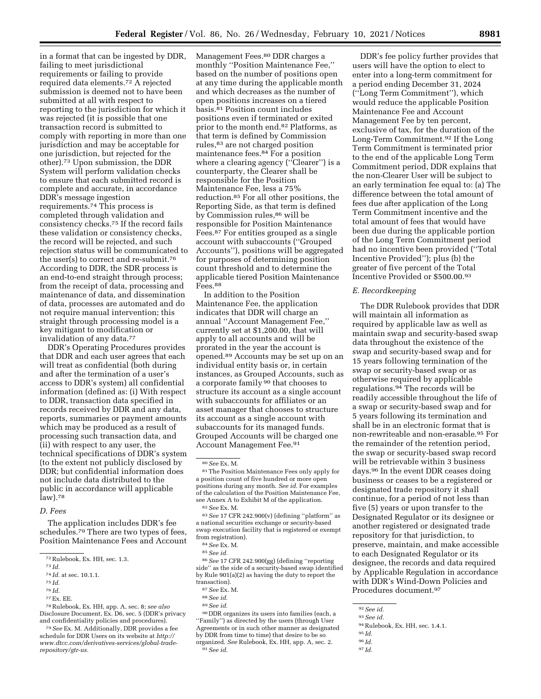in a format that can be ingested by DDR, failing to meet jurisdictional requirements or failing to provide required data elements.72 A rejected submission is deemed not to have been submitted at all with respect to reporting to the jurisdiction for which it was rejected (it is possible that one transaction record is submitted to comply with reporting in more than one jurisdiction and may be acceptable for one jurisdiction, but rejected for the other).73 Upon submission, the DDR System will perform validation checks to ensure that each submitted record is complete and accurate, in accordance DDR's message ingestion requirements.74 This process is completed through validation and consistency checks.75 If the record fails these validation or consistency checks, the record will be rejected, and such rejection status will be communicated to the user(s) to correct and re-submit.76 According to DDR, the SDR process is an end-to-end straight through process; from the receipt of data, processing and maintenance of data, and dissemination of data, processes are automated and do not require manual intervention; this straight through processing model is a key mitigant to modification or invalidation of any data.77

DDR's Operating Procedures provides that DDR and each user agrees that each will treat as confidential (both during and after the termination of a user's access to DDR's system) all confidential information (defined as: (i) With respect to DDR, transaction data specified in records received by DDR and any data, reports, summaries or payment amounts which may be produced as a result of processing such transaction data, and (ii) with respect to any user, the technical specifications of DDR's system (to the extent not publicly disclosed by DDR; but confidential information does not include data distributed to the public in accordance will applicable law).78

## *D. Fees*

The application includes DDR's fee schedules.79 There are two types of fees, Position Maintenance Fees and Account

76 *Id.* 

78Rulebook, Ex. HH, app. A, sec. 8; *see also*  Disclosure Document, Ex. D6, sec. 5 (DDR's privacy and confidentiality policies and procedures).

79*See* Ex. M. Additionally, DDR provides a fee schedule for DDR Users on its website at *[http://](http://www.dtcc.com/derivatives-services/global-trade-repository/gtr-us) [www.dtcc.com/derivatives-services/global-trade](http://www.dtcc.com/derivatives-services/global-trade-repository/gtr-us)[repository/gtr-us.](http://www.dtcc.com/derivatives-services/global-trade-repository/gtr-us)* 

Management Fees.80 DDR charges a monthly ''Position Maintenance Fee,'' based on the number of positions open at any time during the applicable month and which decreases as the number of open positions increases on a tiered basis.81 Position count includes positions even if terminated or exited prior to the month end.82 Platforms, as that term is defined by Commission rules,83 are not charged position maintenance fees.84 For a position where a clearing agency (''Clearer'') is a counterparty, the Clearer shall be responsible for the Position Maintenance Fee, less a 75% reduction.85 For all other positions, the Reporting Side, as that term is defined by Commission rules,<sup>86</sup> will be responsible for Position Maintenance Fees.87 For entities grouped as a single account with subaccounts (''Grouped Accounts''), positions will be aggregated for purposes of determining position count threshold and to determine the applicable tiered Position Maintenance Fees.88

In addition to the Position Maintenance Fee, the application indicates that DDR will charge an annual ''Account Management Fee,'' currently set at \$1,200.00, that will apply to all accounts and will be prorated in the year the account is opened.89 Accounts may be set up on an individual entity basis or, in certain instances, as Grouped Accounts, such as a corporate family 90 that chooses to structure its account as a single account with subaccounts for affiliates or an asset manager that chooses to structure its account as a single account with subaccounts for its managed funds. Grouped Accounts will be charged one Account Management Fee.91

80*See* Ex. M.

81The Position Maintenance Fees only apply for a position count of five hundred or more open positions during any month. *See id.* For examples of the calculation of the Position Maintenance Fee, see Annex A to Exhibit M of the application. 82*See* Ex. M.

83*See* 17 CFR 242.900(v) (defining ''platform'' as a national securities exchange or security-based swap execution facility that is registered or exempt from registration).

86*See* 17 CFR 242.900(gg) (defining ''reporting side'' as the side of a security-based swap identified by Rule 901(a)(2) as having the duty to report the transaction).

87*See* Ex. M.

- 88*See id.*
- 89*See id.*

90 DDR organizes its users into families (each, a ''Family'') as directed by the users (through User Agreements or in such other manner as designated by DDR from time to time) that desire to be so organized. *See* Rulebook, Ex. HH, app. A, sec. 2. 91*See id.* 

DDR's fee policy further provides that users will have the option to elect to enter into a long-term commitment for a period ending December 31, 2024 (''Long Term Commitment''), which would reduce the applicable Position Maintenance Fee and Account Management Fee by ten percent, exclusive of tax, for the duration of the Long-Term Commitment.92 If the Long Term Commitment is terminated prior to the end of the applicable Long Term Commitment period, DDR explains that the non-Clearer User will be subject to an early termination fee equal to: (a) The difference between the total amount of fees due after application of the Long Term Commitment incentive and the total amount of fees that would have been due during the applicable portion of the Long Term Commitment period had no incentive been provided (''Total Incentive Provided''); plus (b) the greater of five percent of the Total Incentive Provided or \$500.00.93

## *E. Recordkeeping*

The DDR Rulebook provides that DDR will maintain all information as required by applicable law as well as maintain swap and security-based swap data throughout the existence of the swap and security-based swap and for 15 years following termination of the swap or security-based swap or as otherwise required by applicable regulations.94 The records will be readily accessible throughout the life of a swap or security-based swap and for 5 years following its termination and shall be in an electronic format that is non-rewriteable and non-erasable.95 For the remainder of the retention period, the swap or security-based swap record will be retrievable within 3 business days.96 In the event DDR ceases doing business or ceases to be a registered or designated trade repository it shall continue, for a period of not less than five (5) years or upon transfer to the Designated Regulator or its designee or another registered or designated trade repository for that jurisdiction, to preserve, maintain, and make accessible to each Designated Regulator or its designee, the records and data required by Applicable Regulation in accordance with DDR's Wind-Down Policies and Procedures document.97

- 94Rulebook, Ex. HH, sec. 1.4.1.
- 95 *Id.*
- 96 *Id.*
- 97 *Id.*

<sup>72</sup>Rulebook, Ex. HH, sec. 1.3.

<sup>73</sup> *Id.* 

<sup>74</sup> *Id.* at sec. 10.1.1.

<sup>75</sup> *Id.* 

<sup>77</sup>Ex. EE.

<sup>84</sup>*See* Ex. M.

<sup>85</sup>*See id.* 

<sup>92</sup>*See id.* 

<sup>93</sup>*See id.*